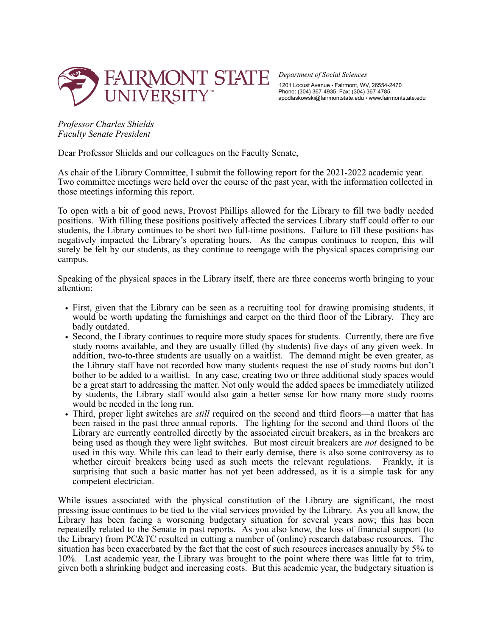

*Department of Social Sciences*  1201 Locust Avenue • Fairmont, WV, 26554-2470 Phone: (304) 367-4935, Fax: (304) 367-4785 apodlaskowski@fairmontstate.edu • www.fairmontstate.edu

*Professor Charles Shields Faculty Senate President*

Dear Professor Shields and our colleagues on the Faculty Senate,

As chair of the Library Committee, I submit the following report for the 2021-2022 academic year. Two committee meetings were held over the course of the past year, with the information collected in those meetings informing this report.

To open with a bit of good news, Provost Phillips allowed for the Library to fill two badly needed positions. With filling these positions positively affected the services Library staff could offer to our students, the Library continues to be short two full-time positions. Failure to fill these positions has negatively impacted the Library's operating hours. As the campus continues to reopen, this will surely be felt by our students, as they continue to reengage with the physical spaces comprising our campus.

Speaking of the physical spaces in the Library itself, there are three concerns worth bringing to your attention:

- First, given that the Library can be seen as a recruiting tool for drawing promising students, it would be worth updating the furnishings and carpet on the third floor of the Library. They are badly outdated.
- Second, the Library continues to require more study spaces for students. Currently, there are five study rooms available, and they are usually filled (by students) five days of any given week. In addition, two-to-three students are usually on a waitlist. The demand might be even greater, as the Library staff have not recorded how many students request the use of study rooms but don't bother to be added to a waitlist. In any case, creating two or three additional study spaces would be a great start to addressing the matter. Not only would the added spaces be immediately utilized by students, the Library staff would also gain a better sense for how many more study rooms would be needed in the long run.
- Third, proper light switches are *still* required on the second and third floors—a matter that has been raised in the past three annual reports. The lighting for the second and third floors of the Library are currently controlled directly by the associated circuit breakers, as in the breakers are being used as though they were light switches. But most circuit breakers are *not* designed to be used in this way. While this can lead to their early demise, there is also some controversy as to whether circuit breakers being used as such meets the relevant regulations. Frankly, it is surprising that such a basic matter has not yet been addressed, as it is a simple task for any competent electrician.

While issues associated with the physical constitution of the Library are significant, the most pressing issue continues to be tied to the vital services provided by the Library. As you all know, the Library has been facing a worsening budgetary situation for several years now; this has been repeatedly related to the Senate in past reports. As you also know, the loss of financial support (to the Library) from PC&TC resulted in cutting a number of (online) research database resources. The situation has been exacerbated by the fact that the cost of such resources increases annually by 5% to 10%. Last academic year, the Library was brought to the point where there was little fat to trim, given both a shrinking budget and increasing costs. But this academic year, the budgetary situation is